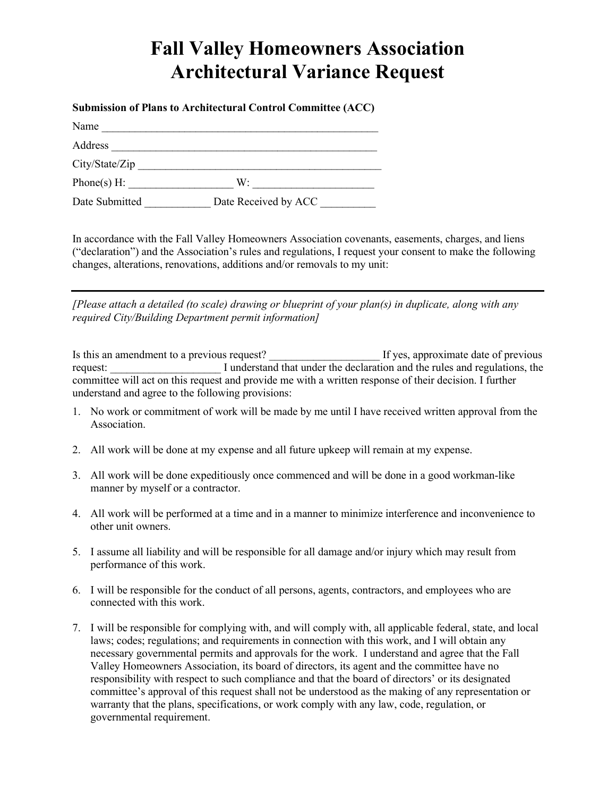# **Fall Valley Homeowners Association Architectural Variance Request**

**Submission of Plans to Architectural Control Committee (ACC)**

| Name           |                      |
|----------------|----------------------|
| Address        |                      |
| City/State/Zip |                      |
| Phone(s) $H$ : | W۰                   |
| Date Submitted | Date Received by ACC |

In accordance with the Fall Valley Homeowners Association covenants, easements, charges, and liens ("declaration") and the Association's rules and regulations, I request your consent to make the following changes, alterations, renovations, additions and/or removals to my unit:

*[Please attach a detailed (to scale) drawing or blueprint of your plan(s) in duplicate, along with any required City/Building Department permit information]*

Is this an amendment to a previous request? \_\_\_\_\_\_\_\_\_\_\_\_\_\_\_\_\_\_\_\_ If yes, approximate date of previous request: \_\_\_\_\_\_\_\_\_\_\_\_\_\_\_\_\_\_\_\_ I understand that under the declaration and the rules and regulations, the committee will act on this request and provide me with a written response of their decision. I further understand and agree to the following provisions:

- 1. No work or commitment of work will be made by me until I have received written approval from the Association.
- 2. All work will be done at my expense and all future upkeep will remain at my expense.
- 3. All work will be done expeditiously once commenced and will be done in a good workman-like manner by myself or a contractor.
- 4. All work will be performed at a time and in a manner to minimize interference and inconvenience to other unit owners.
- 5. I assume all liability and will be responsible for all damage and/or injury which may result from performance of this work.
- 6. I will be responsible for the conduct of all persons, agents, contractors, and employees who are connected with this work.
- 7. I will be responsible for complying with, and will comply with, all applicable federal, state, and local laws; codes; regulations; and requirements in connection with this work, and I will obtain any necessary governmental permits and approvals for the work. I understand and agree that the Fall Valley Homeowners Association, its board of directors, its agent and the committee have no responsibility with respect to such compliance and that the board of directors' or its designated committee's approval of this request shall not be understood as the making of any representation or warranty that the plans, specifications, or work comply with any law, code, regulation, or governmental requirement.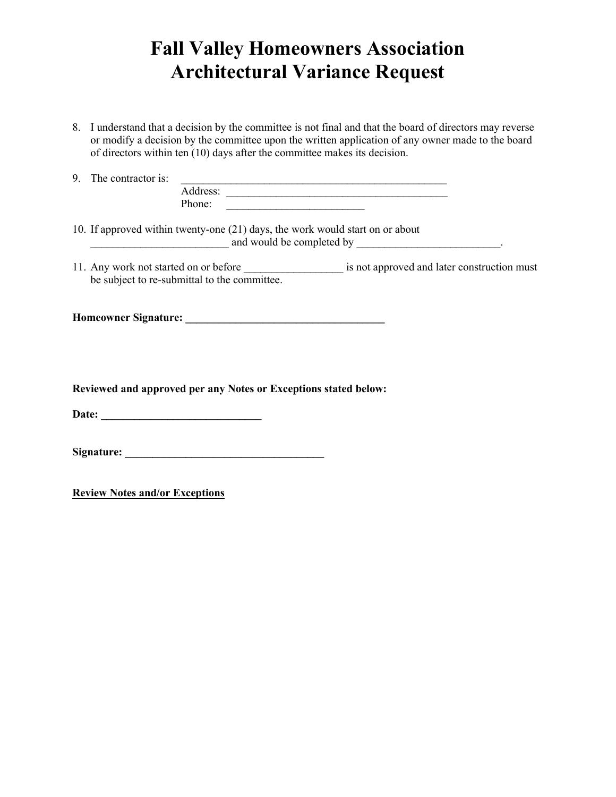# **Fall Valley Homeowners Association Architectural Variance Request**

8. I understand that a decision by the committee is not final and that the board of directors may reverse or modify a decision by the committee upon the written application of any owner made to the board of directors within ten (10) days after the committee makes its decision.

| 9. The contractor is: |                                                                               |                                                                                                          |
|-----------------------|-------------------------------------------------------------------------------|----------------------------------------------------------------------------------------------------------|
|                       |                                                                               |                                                                                                          |
|                       | Phone:                                                                        |                                                                                                          |
|                       | 10. If approved within twenty-one (21) days, the work would start on or about | $\frac{1}{2}$ and would be completed by _________________________.                                       |
|                       |                                                                               | 11. Any work not started on or before ______________________ is not approved and later construction must |
|                       | be subject to re-submittal to the committee.                                  |                                                                                                          |
|                       |                                                                               |                                                                                                          |
|                       | Reviewed and approved per any Notes or Exceptions stated below:               |                                                                                                          |
|                       |                                                                               |                                                                                                          |
|                       |                                                                               |                                                                                                          |

**Review Notes and/or Exceptions**